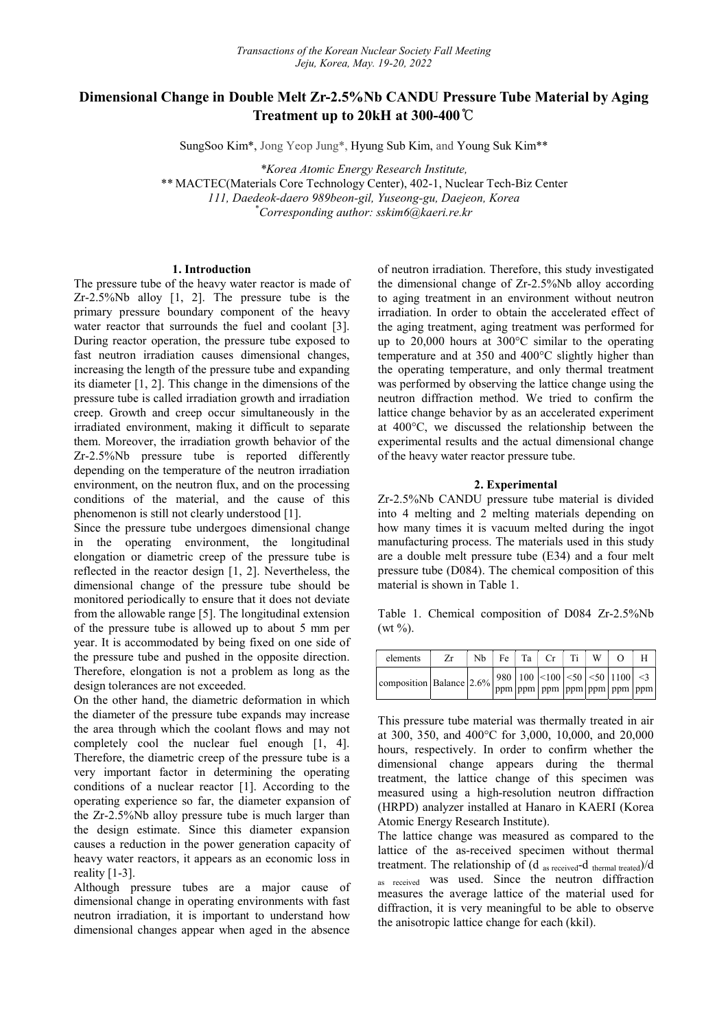# Dimensional Change in Double Melt Zr-2.5%Nb CANDU Pressure Tube Material by Aging Treatment up to 20kH at 300-400℃

SungSoo Kim\*, Jong Yeop Jung\*, Hyung Sub Kim, and Young Suk Kim\*\*

\*Korea Atomic Energy Research Institute,

\*\* MACTEC(Materials Core Technology Center), 402-1, Nuclear Tech-Biz Center 111, Daedeok-daero 989beon-gil, Yuseong-gu, Daejeon, Korea \*Corresponding author: sskim6@kaeri.re.kr

# 1. Introduction

The pressure tube of the heavy water reactor is made of Zr-2.5%Nb alloy [1, 2]. The pressure tube is the primary pressure boundary component of the heavy water reactor that surrounds the fuel and coolant [3]. During reactor operation, the pressure tube exposed to fast neutron irradiation causes dimensional changes, increasing the length of the pressure tube and expanding its diameter [1, 2]. This change in the dimensions of the pressure tube is called irradiation growth and irradiation creep. Growth and creep occur simultaneously in the irradiated environment, making it difficult to separate them. Moreover, the irradiation growth behavior of the Zr-2.5%Nb pressure tube is reported differently depending on the temperature of the neutron irradiation environment, on the neutron flux, and on the processing conditions of the material, and the cause of this phenomenon is still not clearly understood [1].

Since the pressure tube undergoes dimensional change in the operating environment, the longitudinal elongation or diametric creep of the pressure tube is reflected in the reactor design [1, 2]. Nevertheless, the dimensional change of the pressure tube should be monitored periodically to ensure that it does not deviate from the allowable range [5]. The longitudinal extension of the pressure tube is allowed up to about 5 mm per year. It is accommodated by being fixed on one side of the pressure tube and pushed in the opposite direction. Therefore, elongation is not a problem as long as the design tolerances are not exceeded.

On the other hand, the diametric deformation in which the diameter of the pressure tube expands may increase the area through which the coolant flows and may not completely cool the nuclear fuel enough [1, 4]. Therefore, the diametric creep of the pressure tube is a very important factor in determining the operating conditions of a nuclear reactor [1]. According to the operating experience so far, the diameter expansion of the Zr-2.5%Nb alloy pressure tube is much larger than the design estimate. Since this diameter expansion causes a reduction in the power generation capacity of heavy water reactors, it appears as an economic loss in reality [1-3].

Although pressure tubes are a major cause of dimensional change in operating environments with fast neutron irradiation, it is important to understand how dimensional changes appear when aged in the absence

of neutron irradiation. Therefore, this study investigated the dimensional change of Zr-2.5%Nb alloy according to aging treatment in an environment without neutron irradiation. In order to obtain the accelerated effect of the aging treatment, aging treatment was performed for up to 20,000 hours at 300°C similar to the operating temperature and at 350 and 400°C slightly higher than the operating temperature, and only thermal treatment was performed by observing the lattice change using the neutron diffraction method. We tried to confirm the lattice change behavior by as an accelerated experiment at 400°C, we discussed the relationship between the experimental results and the actual dimensional change of the heavy water reactor pressure tube.

# 2. Experimental

Zr-2.5%Nb CANDU pressure tube material is divided into 4 melting and 2 melting materials depending on how many times it is vacuum melted during the ingot manufacturing process. The materials used in this study are a double melt pressure tube (E34) and a four melt pressure tube (D084). The chemical composition of this material is shown in Table 1.

Table 1. Chemical composition of D084 Zr-2.5%Nb  $(wt \frac{9}{0})$ .

| elements                     | Zr | Nb. | Fe <sub>1</sub> | $Ta$ $Cr$                                                                        | Ti | W |  |
|------------------------------|----|-----|-----------------|----------------------------------------------------------------------------------|----|---|--|
| composition   Balance   2.6% |    |     |                 | $\vert$ 980   100   <100   <50   <50   1100   <3<br> ppm ppm ppm ppm ppm ppm ppm |    |   |  |

This pressure tube material was thermally treated in air at 300, 350, and 400°C for 3,000, 10,000, and 20,000 hours, respectively. In order to confirm whether the dimensional change appears during the thermal treatment, the lattice change of this specimen was measured using a high-resolution neutron diffraction (HRPD) analyzer installed at Hanaro in KAERI (Korea Atomic Energy Research Institute).

The lattice change was measured as compared to the lattice of the as-received specimen without thermal treatment. The relationship of (d as received-d thermal treated)/d as received was used. Since the neutron diffraction measures the average lattice of the material used for diffraction, it is very meaningful to be able to observe the anisotropic lattice change for each (kkil).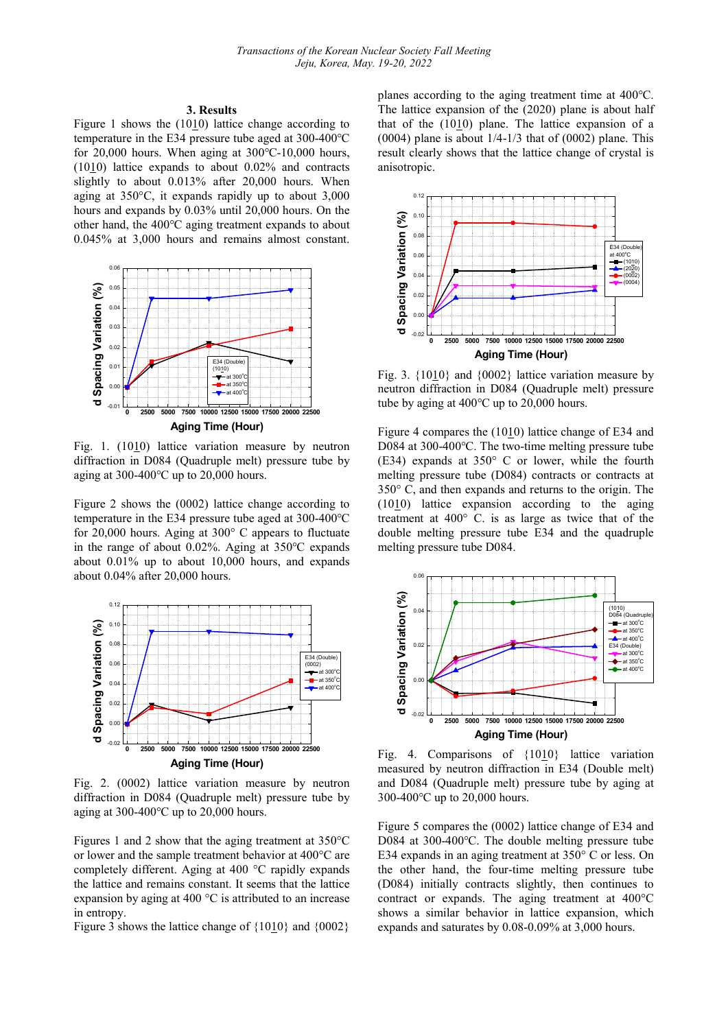#### 3. Results

Figure 1 shows the  $(1010)$  lattice change according to temperature in the E34 pressure tube aged at 300-400℃ for 20,000 hours. When aging at 300℃-10,000 hours,  $(1010)$  lattice expands to about 0.02% and contracts slightly to about 0.013% after 20,000 hours. When aging at 350°C, it expands rapidly up to about 3,000 hours and expands by 0.03% until 20,000 hours. On the other hand, the 400℃ aging treatment expands to about 0.045% at 3,000 hours and remains almost constant.



Fig. 1. (1010) lattice variation measure by neutron diffraction in D084 (Quadruple melt) pressure tube by aging at 300-400℃ up to 20,000 hours.

Figure 2 shows the (0002) lattice change according to temperature in the E34 pressure tube aged at 300-400℃ for 20,000 hours. Aging at 300° C appears to fluctuate in the range of about 0.02%. Aging at 350℃ expands about 0.01% up to about 10,000 hours, and expands about 0.04% after 20,000 hours.



Fig. 2. (0002) lattice variation measure by neutron diffraction in D084 (Quadruple melt) pressure tube by aging at 300-400 $^{\circ}$ C up to 20,000 hours.

Figures 1 and 2 show that the aging treatment at 350°C or lower and the sample treatment behavior at 400°C are completely different. Aging at 400 °C rapidly expands the lattice and remains constant. It seems that the lattice expansion by aging at 400 °C is attributed to an increase in entropy.

Figure 3 shows the lattice change of  ${1010}$  and  ${0002}$ 

planes according to the aging treatment time at 400℃. The lattice expansion of the (2020) plane is about half that of the  $(1010)$  plane. The lattice expansion of a (0004) plane is about  $1/4-1/3$  that of (0002) plane. This result clearly shows that the lattice change of crystal is anisotropic.



Fig. 3.  ${1010}$  and  ${0002}$  lattice variation measure by neutron diffraction in D084 (Quadruple melt) pressure tube by aging at 400℃ up to 20,000 hours.

Figure 4 compares the (1010) lattice change of E34 and D084 at 300-400℃. The two-time melting pressure tube (E34) expands at 350° C or lower, while the fourth melting pressure tube (D084) contracts or contracts at 350° C, and then expands and returns to the origin. The (1010) lattice expansion according to the aging treatment at 400° C. is as large as twice that of the double melting pressure tube E34 and the quadruple melting pressure tube D084.



Fig. 4. Comparisons of {1010} lattice variation measured by neutron diffraction in E34 (Double melt) and D084 (Quadruple melt) pressure tube by aging at 300-400℃ up to 20,000 hours.

Figure 5 compares the (0002) lattice change of E34 and D084 at 300-400℃. The double melting pressure tube E34 expands in an aging treatment at 350° C or less. On the other hand, the four-time melting pressure tube (D084) initially contracts slightly, then continues to contract or expands. The aging treatment at 400°C shows a similar behavior in lattice expansion, which expands and saturates by 0.08-0.09% at 3,000 hours.